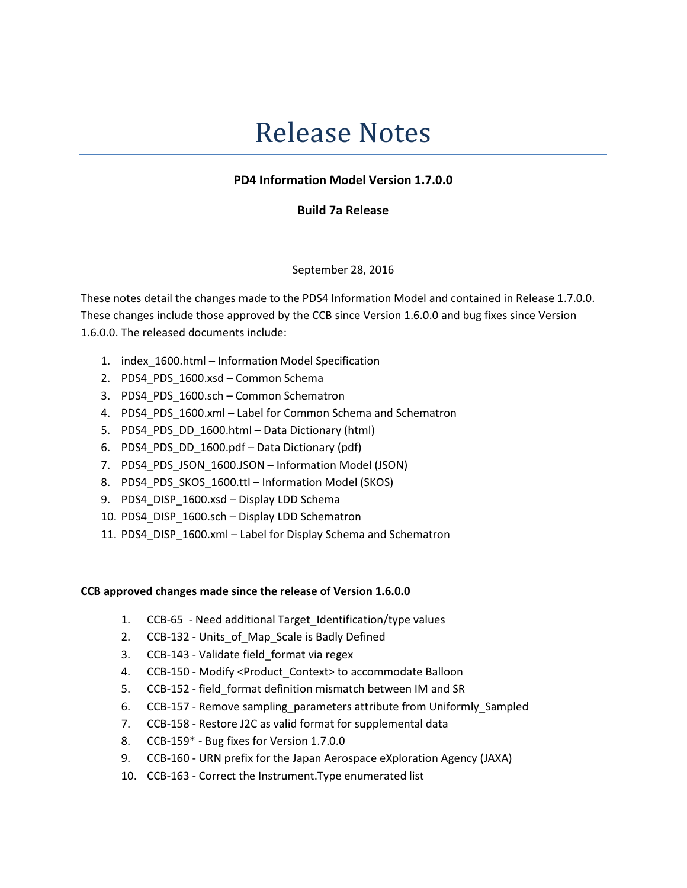# Release Notes

## PD4 Information Model Version 1.7.0.0

### Build 7a Release

#### September 28, 2016

These notes detail the changes made to the PDS4 Information Model and contained in Release 1.7.0.0. These changes include those approved by the CCB since Version 1.6.0.0 and bug fixes since Version 1.6.0.0. The released documents include:

- 1. index\_1600.html Information Model Specification
- 2. PDS4 PDS 1600.xsd Common Schema
- 3. PDS4 PDS 1600.sch Common Schematron
- 4. PDS4\_PDS\_1600.xml Label for Common Schema and Schematron
- 5. PDS4 PDS DD 1600.html Data Dictionary (html)
- 6. PDS4\_PDS\_DD\_1600.pdf Data Dictionary (pdf)
- 7. PDS4 PDS JSON 1600.JSON Information Model (JSON)
- 8. PDS4 PDS SKOS 1600.ttl Information Model (SKOS)
- 9. PDS4 DISP\_1600.xsd Display LDD Schema
- 10. PDS4\_DISP\_1600.sch Display LDD Schematron
- 11. PDS4\_DISP\_1600.xml Label for Display Schema and Schematron

#### CCB approved changes made since the release of Version 1.6.0.0

- 1. CCB-65 Need additional Target\_Identification/type values
- 2. CCB-132 Units of Map Scale is Badly Defined
- 3. CCB-143 Validate field format via regex
- 4. CCB-150 Modify <Product\_Context> to accommodate Balloon
- 5. CCB-152 field\_format definition mismatch between IM and SR
- 6. CCB-157 Remove sampling parameters attribute from Uniformly Sampled
- 7. CCB-158 Restore J2C as valid format for supplemental data
- 8. CCB-159\* Bug fixes for Version 1.7.0.0
- 9. CCB-160 URN prefix for the Japan Aerospace eXploration Agency (JAXA)
- 10. CCB-163 Correct the Instrument.Type enumerated list